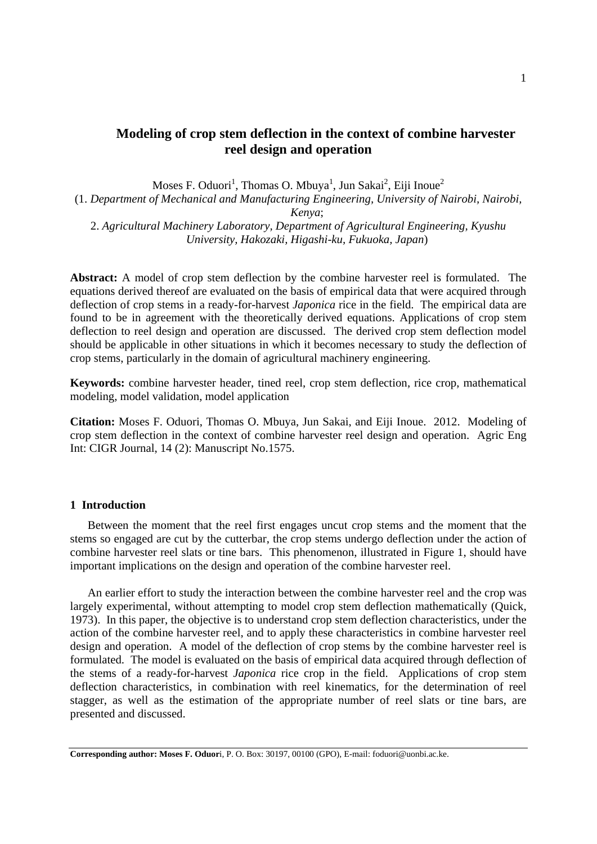# **Modeling of crop stem deflection in the context of combine harvester reel design and operation**

Moses F. Oduori<sup>1</sup>, Thomas O. Mbuya<sup>1</sup>, Jun Sakai<sup>2</sup>, Eiji Inoue<sup>2</sup>

(1. *Department of Mechanical and Manufacturing Engineering, University of Nairobi, Nairobi, Kenya*;

2. *Agricultural Machinery Laboratory, Department of Agricultural Engineering, Kyushu University, Hakozaki, Higashi-ku, Fukuoka, Japan*)

**Abstract:** A model of crop stem deflection by the combine harvester reel is formulated. The equations derived thereof are evaluated on the basis of empirical data that were acquired through deflection of crop stems in a ready-for-harvest *Japonica* rice in the field. The empirical data are found to be in agreement with the theoretically derived equations. Applications of crop stem deflection to reel design and operation are discussed. The derived crop stem deflection model should be applicable in other situations in which it becomes necessary to study the deflection of crop stems, particularly in the domain of agricultural machinery engineering.

**Keywords:** combine harvester header, tined reel, crop stem deflection, rice crop, mathematical modeling, model validation, model application

**Citation:** Moses F. Oduori, Thomas O. Mbuya, Jun Sakai, and Eiji Inoue. 2012. Modeling of crop stem deflection in the context of combine harvester reel design and operation. Agric Eng Int: CIGR Journal, 14 (2): Manuscript No.1575.

#### **1 Introduction**

Between the moment that the reel first engages uncut crop stems and the moment that the stems so engaged are cut by the cutterbar, the crop stems undergo deflection under the action of combine harvester reel slats or tine bars. This phenomenon, illustrated in Figure 1, should have important implications on the design and operation of the combine harvester reel.

An earlier effort to study the interaction between the combine harvester reel and the crop was largely experimental, without attempting to model crop stem deflection mathematically (Quick, 1973). In this paper, the objective is to understand crop stem deflection characteristics, under the action of the combine harvester reel, and to apply these characteristics in combine harvester reel design and operation. A model of the deflection of crop stems by the combine harvester reel is formulated. The model is evaluated on the basis of empirical data acquired through deflection of the stems of a ready-for-harvest *Japonica* rice crop in the field. Applications of crop stem deflection characteristics, in combination with reel kinematics, for the determination of reel stagger, as well as the estimation of the appropriate number of reel slats or tine bars, are presented and discussed.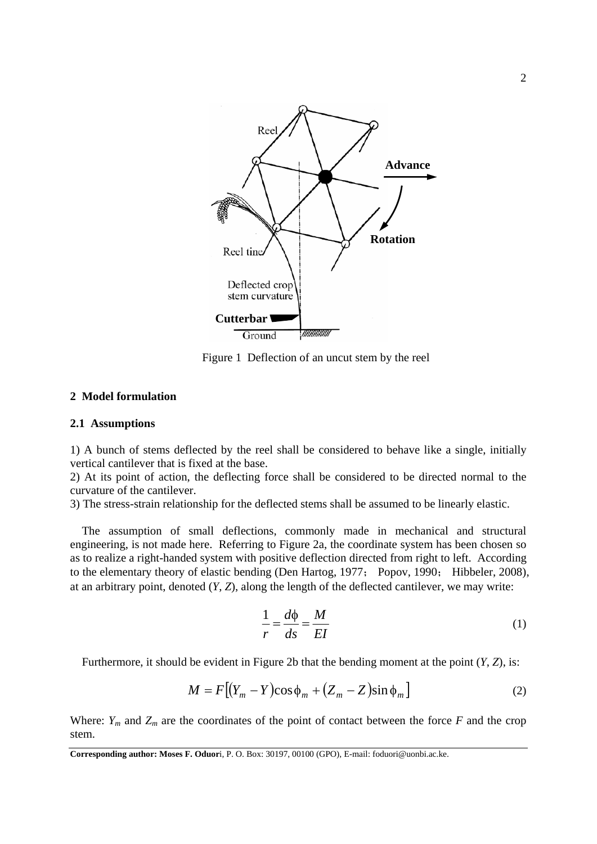

Figure 1 Deflection of an uncut stem by the reel

### **2 Model formulation**

### **2.1 Assumptions**

1) A bunch of stems deflected by the reel shall be considered to behave like a single, initially vertical cantilever that is fixed at the base.

2) At its point of action, the deflecting force shall be considered to be directed normal to the curvature of the cantilever.

3) The stress-strain relationship for the deflected stems shall be assumed to be linearly elastic.

The assumption of small deflections, commonly made in mechanical and structural engineering, is not made here. Referring to Figure 2a, the coordinate system has been chosen so as to realize a right-handed system with positive deflection directed from right to left. According to the elementary theory of elastic bending (Den Hartog, 1977; Popov, 1990; Hibbeler, 2008), at an arbitrary point, denoted (*Y*, *Z*), along the length of the deflected cantilever, we may write:

$$
\frac{1}{r} = \frac{d\phi}{ds} = \frac{M}{EI} \tag{1}
$$

Furthermore, it should be evident in Figure 2b that the bending moment at the point (*Y*, *Z*), is:

$$
M = F[(Y_m - Y)\cos\phi_m + (Z_m - Z)\sin\phi_m]
$$
 (2)

Where:  $Y_m$  and  $Z_m$  are the coordinates of the point of contact between the force  $F$  and the crop stem.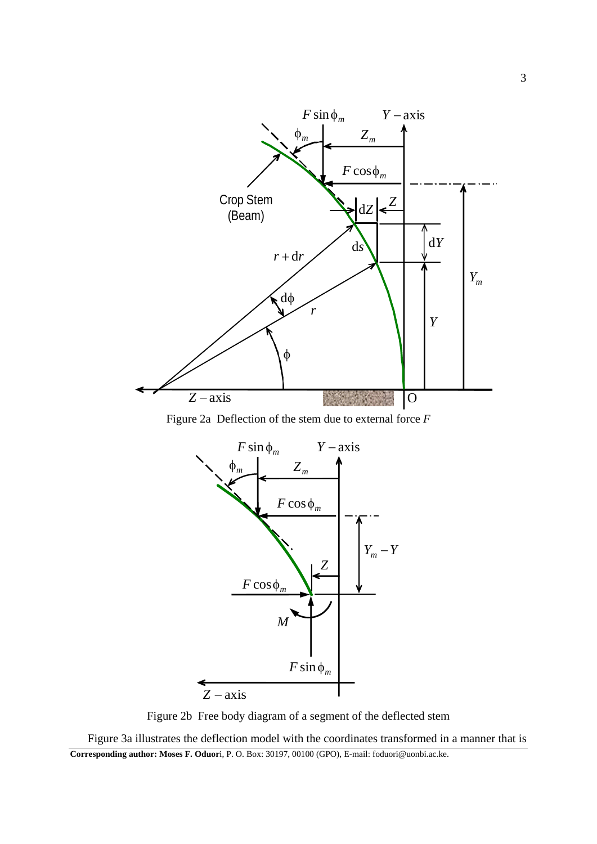

Figure 2a Deflection of the stem due to external force *F*



Figure 2b Free body diagram of a segment of the deflected stem

**Corresponding author: Moses F. Oduor**i, P. O. Box: 30197, 00100 (GPO), E-mail: foduori@uonbi.ac.ke. Figure 3a illustrates the deflection model with the coordinates transformed in a manner that is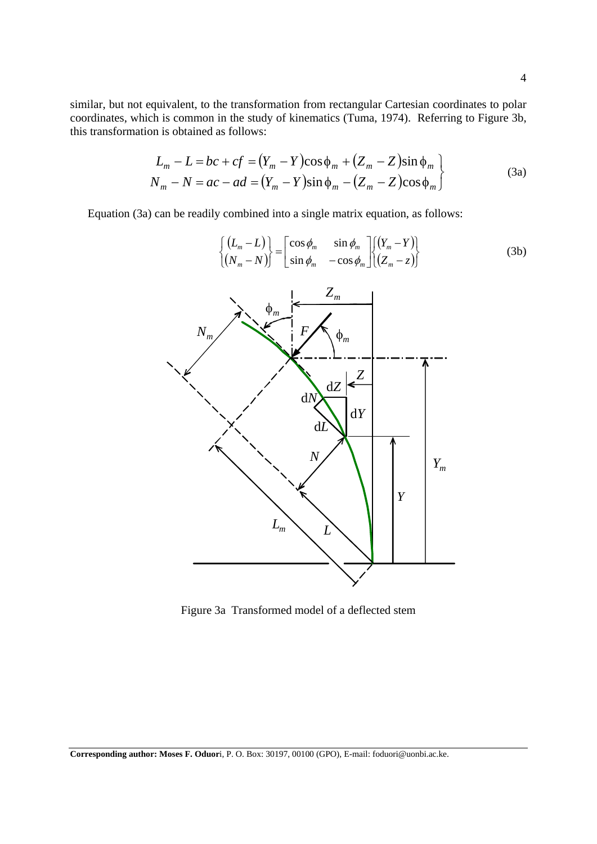similar, but not equivalent, to the transformation from rectangular Cartesian coordinates to polar coordinates, which is common in the study of kinematics (Tuma, 1974). Referring to Figure 3b, this transformation is obtained as follows:

$$
L_m - L = bc + cf = (Y_m - Y)\cos\phi_m + (Z_m - Z)\sin\phi_m
$$
  
\n
$$
N_m - N = ac - ad = (Y_m - Y)\sin\phi_m - (Z_m - Z)\cos\phi_m
$$
\n(3a)

Equation (3a) can be readily combined into a single matrix equation, as follows:

$$
\begin{cases}\n(L_m - L) \\
(N_m - N)\n\end{cases} =\n\begin{bmatrix}\n\cos \phi_m & \sin \phi_m \\
\sin \phi_m & -\cos \phi_m\n\end{bmatrix}\n\begin{bmatrix}\n(Y_m - Y) \\
(Z_m - z)\n\end{bmatrix}
$$
\n(3b)



Figure 3a Transformed model of a deflected stem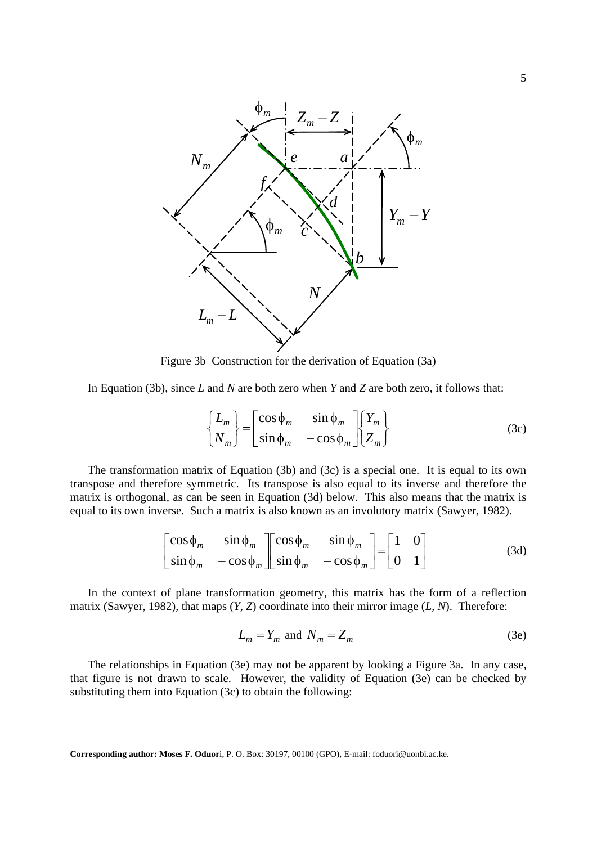

Figure 3b Construction for the derivation of Equation (3a)

In Equation (3b), since *L* and *N* are both zero when *Y* and *Z* are both zero, it follows that:

$$
\begin{Bmatrix} L_m \\ N_m \end{Bmatrix} = \begin{bmatrix} \cos \phi_m & \sin \phi_m \\ \sin \phi_m & -\cos \phi_m \end{bmatrix} \begin{Bmatrix} Y_m \\ Z_m \end{Bmatrix}
$$
 (3c)

The transformation matrix of Equation (3b) and (3c) is a special one. It is equal to its own transpose and therefore symmetric. Its transpose is also equal to its inverse and therefore the matrix is orthogonal, as can be seen in Equation (3d) below. This also means that the matrix is equal to its own inverse. Such a matrix is also known as an involutory matrix (Sawyer, 1982).

$$
\begin{bmatrix}\n\cos \phi_m & \sin \phi_m \\
\sin \phi_m & -\cos \phi_m\n\end{bmatrix}\n\begin{bmatrix}\n\cos \phi_m & \sin \phi_m \\
\sin \phi_m & -\cos \phi_m\n\end{bmatrix}\n=\n\begin{bmatrix}\n1 & 0 \\
0 & 1\n\end{bmatrix}
$$
\n(3d)

In the context of plane transformation geometry, this matrix has the form of a reflection matrix (Sawyer, 1982), that maps (*Y*, *Z*) coordinate into their mirror image (*L*, *N*). Therefore:

$$
L_m = Y_m \text{ and } N_m = Z_m \tag{3e}
$$

The relationships in Equation (3e) may not be apparent by looking a Figure 3a. In any case, that figure is not drawn to scale. However, the validity of Equation (3e) can be checked by substituting them into Equation (3c) to obtain the following: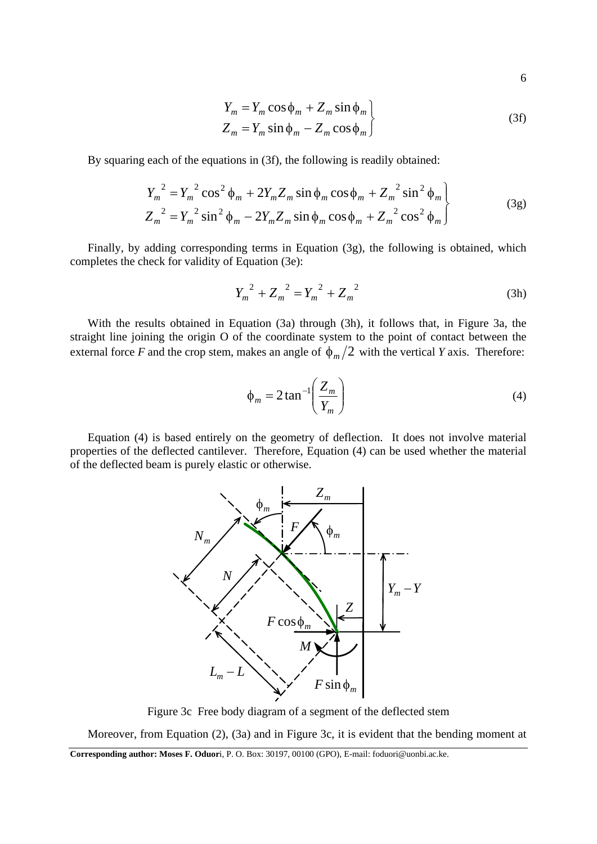6

$$
Y_m = Y_m \cos \phi_m + Z_m \sin \phi_m
$$
  
\n
$$
Z_m = Y_m \sin \phi_m - Z_m \cos \phi_m
$$
\n(3f)

By squaring each of the equations in (3f), the following is readily obtained:

$$
Y_m^2 = Y_m^2 \cos^2 \phi_m + 2Y_m Z_m \sin \phi_m \cos \phi_m + Z_m^2 \sin^2 \phi_m
$$
  

$$
Z_m^2 = Y_m^2 \sin^2 \phi_m - 2Y_m Z_m \sin \phi_m \cos \phi_m + Z_m^2 \cos^2 \phi_m
$$
 (3g)

Finally, by adding corresponding terms in Equation (3g), the following is obtained, which completes the check for validity of Equation (3e):

$$
Y_m^2 + Z_m^2 = Y_m^2 + Z_m^2
$$
 (3h)

With the results obtained in Equation (3a) through (3h), it follows that, in Figure 3a, the straight line joining the origin O of the coordinate system to the point of contact between the external force *F* and the crop stem, makes an angle of  $\phi_m/2$  with the vertical *Y* axis. Therefore:

$$
\phi_m = 2 \tan^{-1} \left( \frac{Z_m}{Y_m} \right) \tag{4}
$$

Equation (4) is based entirely on the geometry of deflection. It does not involve material properties of the deflected cantilever. Therefore, Equation (4) can be used whether the material of the deflected beam is purely elastic or otherwise.



Figure 3c Free body diagram of a segment of the deflected stem

Moreover, from Equation (2), (3a) and in Figure 3c, it is evident that the bending moment at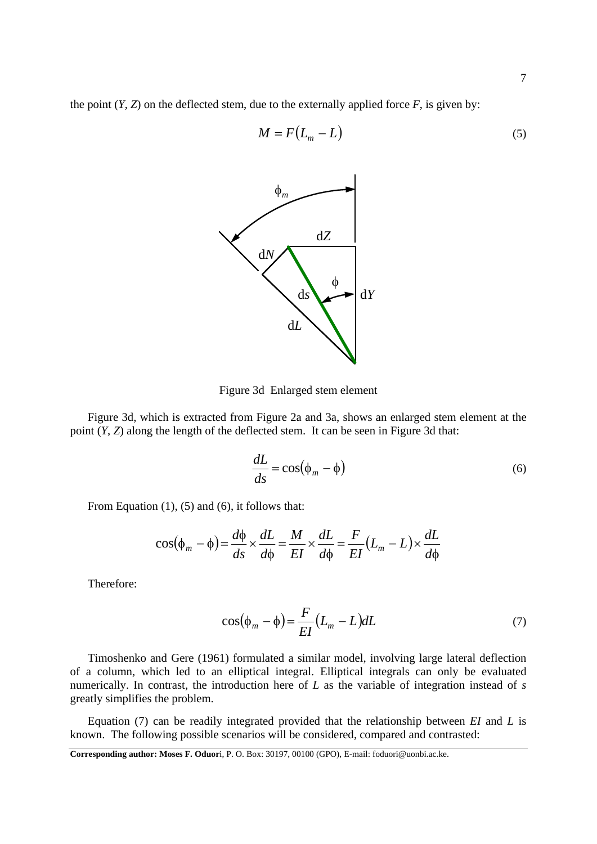the point  $(Y, Z)$  on the deflected stem, due to the externally applied force  $F$ , is given by:

$$
M = F(L_m - L) \tag{5}
$$



Figure 3d Enlarged stem element

Figure 3d, which is extracted from Figure 2a and 3a, shows an enlarged stem element at the point (*Y*, *Z*) along the length of the deflected stem. It can be seen in Figure 3d that:

$$
\frac{dL}{ds} = \cos(\phi_m - \phi) \tag{6}
$$

From Equation (1), (5) and (6), it follows that:

$$
\cos(\phi_m - \phi) = \frac{d\phi}{ds} \times \frac{dL}{d\phi} = \frac{M}{EI} \times \frac{dL}{d\phi} = \frac{F}{EI}(L_m - L) \times \frac{dL}{d\phi}
$$

Therefore:

$$
\cos(\phi_m - \phi) = \frac{F}{EI}(L_m - L)dL
$$
\n(7)

Timoshenko and Gere (1961) formulated a similar model, involving large lateral deflection of a column, which led to an elliptical integral. Elliptical integrals can only be evaluated numerically. In contrast, the introduction here of *L* as the variable of integration instead of *s* greatly simplifies the problem.

Equation (7) can be readily integrated provided that the relationship between *EI* and *L* is known. The following possible scenarios will be considered, compared and contrasted:

**Corresponding author: Moses F. Oduor**i, P. O. Box: 30197, 00100 (GPO), E-mail: foduori@uonbi.ac.ke.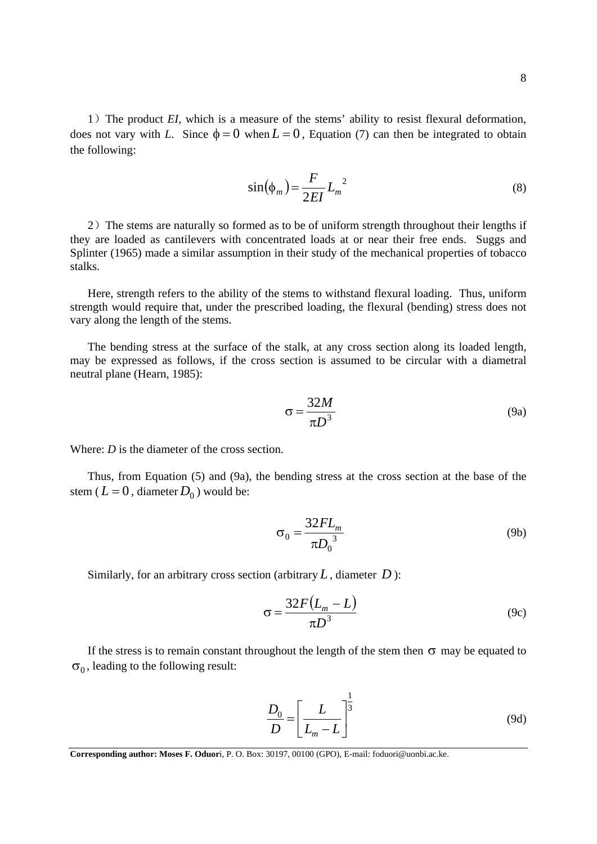$$
\sin(\phi_m) = \frac{F}{2EI} L_m^2 \tag{8}
$$

2) The stems are naturally so formed as to be of uniform strength throughout their lengths if they are loaded as cantilevers with concentrated loads at or near their free ends. Suggs and Splinter (1965) made a similar assumption in their study of the mechanical properties of tobacco stalks.

Here, strength refers to the ability of the stems to withstand flexural loading. Thus, uniform strength would require that, under the prescribed loading, the flexural (bending) stress does not vary along the length of the stems.

The bending stress at the surface of the stalk, at any cross section along its loaded length, may be expressed as follows, if the cross section is assumed to be circular with a diametral neutral plane (Hearn, 1985):

$$
\sigma = \frac{32M}{\pi D^3} \tag{9a}
$$

Where: *D* is the diameter of the cross section.

Thus, from Equation (5) and (9a), the bending stress at the cross section at the base of the stem ( $L = 0$ , diameter  $D_0$ ) would be:

$$
\sigma_0 = \frac{32FL_m}{\pi D_0^3} \tag{9b}
$$

Similarly, for an arbitrary cross section (arbitrary  $L$ , diameter  $D$ ):

$$
\sigma = \frac{32F(L_m - L)}{\pi D^3}
$$
 (9c)

If the stress is to remain constant throughout the length of the stem then  $\sigma$  may be equated to  $\sigma_0$ , leading to the following result:

$$
\frac{D_0}{D} = \left[\frac{L}{L_m - L}\right]^{\frac{1}{3}}
$$
\n(9d)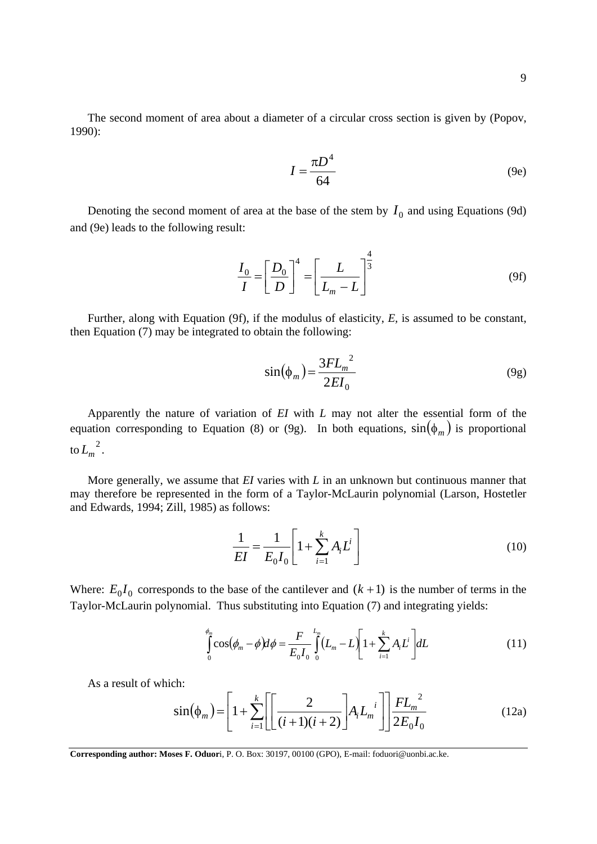The second moment of area about a diameter of a circular cross section is given by (Popov, 1990):

$$
I = \frac{\pi D^4}{64} \tag{9e}
$$

Denoting the second moment of area at the base of the stem by  $I_0$  and using Equations (9d) and (9e) leads to the following result:

$$
\frac{I_0}{I} = \left[\frac{D_0}{D}\right]^4 = \left[\frac{L}{L_m - L}\right]^{\frac{4}{3}}
$$
(9f)

Further, along with Equation (9f), if the modulus of elasticity, *E,* is assumed to be constant, then Equation (7) may be integrated to obtain the following:

$$
\sin(\phi_m) = \frac{3FL_m^2}{2EI_0} \tag{9g}
$$

Apparently the nature of variation of *EI* with *L* may not alter the essential form of the equation corresponding to Equation (8) or (9g). In both equations,  $sin(\phi_m)$  is proportional to  $L_m^2$ .

More generally, we assume that *EI* varies with *L* in an unknown but continuous manner that may therefore be represented in the form of a Taylor-McLaurin polynomial (Larson, Hostetler and Edwards, 1994; Zill, 1985) as follows:

$$
\frac{1}{EI} = \frac{1}{E_0 I_0} \left[ 1 + \sum_{i=1}^{k} A_i L^i \right]
$$
 (10)

Where:  $E_0 I_0$  corresponds to the base of the cantilever and  $(k + 1)$  is the number of terms in the Taylor-McLaurin polynomial. Thus substituting into Equation (7) and integrating yields:

$$
\int_{0}^{\phi_m} \cos(\phi_m - \phi) d\phi = \frac{F}{E_0 I_0} \int_{0}^{L_m} (L_m - L) \left[ 1 + \sum_{i=1}^{k} A_i L^i \right] dL \tag{11}
$$

As a result of which:

$$
\sin(\phi_m) = \left[1 + \sum_{i=1}^{k} \left[ \left[ \frac{2}{(i+1)(i+2)} \right] A_i L_m^{i} \right] \right] \frac{FL_m^{2}}{2E_0 I_0}
$$
(12a)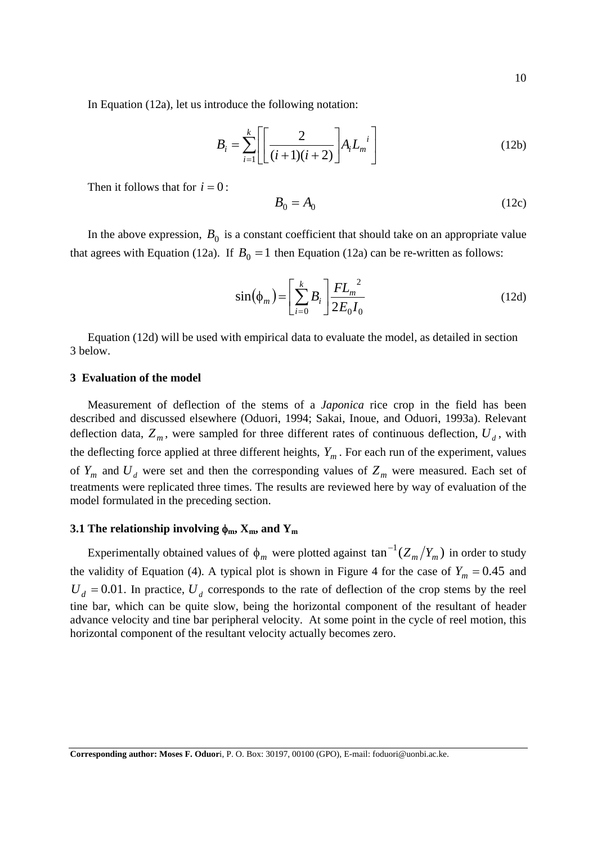In Equation (12a), let us introduce the following notation:

$$
B_i = \sum_{i=1}^{k} \left[ \left[ \frac{2}{(i+1)(i+2)} \right] A_i L_m^{i} \right]
$$
 (12b)

Then it follows that for  $i = 0$ :

$$
B_0 = A_0 \tag{12c}
$$

In the above expression,  $B_0$  is a constant coefficient that should take on an appropriate value that agrees with Equation (12a). If  $B_0 = 1$  then Equation (12a) can be re-written as follows:

$$
\sin(\phi_m) = \left[\sum_{i=0}^{k} B_i\right] \frac{FL_m^2}{2E_0I_0} \tag{12d}
$$

Equation (12d) will be used with empirical data to evaluate the model, as detailed in section 3 below.

### **3 Evaluation of the model**

Measurement of deflection of the stems of a *Japonica* rice crop in the field has been described and discussed elsewhere (Oduori, 1994; Sakai, Inoue, and Oduori, 1993a). Relevant deflection data,  $Z_m$ , were sampled for three different rates of continuous deflection,  $U_d$ , with the deflecting force applied at three different heights,  $Y_m$ . For each run of the experiment, values of  $Y_m$  and  $U_d$  were set and then the corresponding values of  $Z_m$  were measured. Each set of treatments were replicated three times. The results are reviewed here by way of evaluation of the model formulated in the preceding section.

#### **3.1 The relationship involving**  $\phi_m$ **,**  $X_m$ **, and**  $Y_m$

Experimentally obtained values of  $\phi_m$  were plotted against  $\tan^{-1}(Z_m/Y_m)$  in order to study the validity of Equation (4). A typical plot is shown in Figure 4 for the case of  $Y_m = 0.45$  and  $U_d$  = 0.01. In practice,  $U_d$  corresponds to the rate of deflection of the crop stems by the reel tine bar, which can be quite slow, being the horizontal component of the resultant of header advance velocity and tine bar peripheral velocity. At some point in the cycle of reel motion, this horizontal component of the resultant velocity actually becomes zero.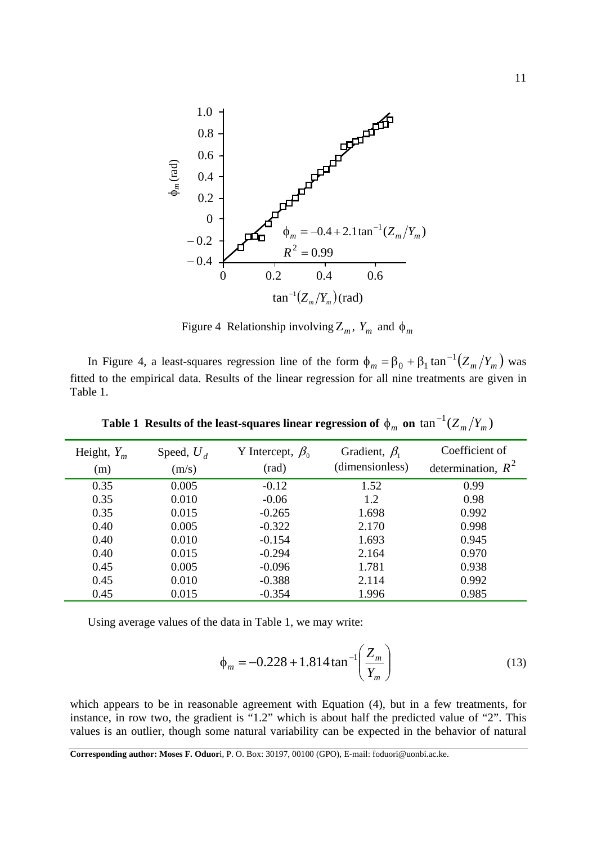

Figure 4 Relationship involving  $Z_m$ ,  $Y_m$  and  $\phi_m$ 

In Figure 4, a least-squares regression line of the form  $\phi_m = \beta_0 + \beta_1 \tan^{-1}(Z_m/Y_m)$  was fitted to the empirical data. Results of the linear regression for all nine treatments are given in Table 1.

| Height, $Y_m$<br>(m) | Speed, $U_d$<br>(m/s) | Y Intercept, $\beta_0$<br>(rad) | Gradient, $\beta_1$<br>(dimensionless) | Coefficient of<br>determination, $R^2$ |
|----------------------|-----------------------|---------------------------------|----------------------------------------|----------------------------------------|
| 0.35                 | 0.005                 | $-0.12$                         | 1.52                                   | 0.99                                   |
| 0.35                 | 0.010                 | $-0.06$                         | 1.2                                    | 0.98                                   |
| 0.35                 | 0.015                 | $-0.265$                        | 1.698                                  | 0.992                                  |
| 0.40                 | 0.005                 | $-0.322$                        | 2.170                                  | 0.998                                  |
| 0.40                 | 0.010                 | $-0.154$                        | 1.693                                  | 0.945                                  |
| 0.40                 | 0.015                 | $-0.294$                        | 2.164                                  | 0.970                                  |
| 0.45                 | 0.005                 | $-0.096$                        | 1.781                                  | 0.938                                  |
| 0.45                 | 0.010                 | $-0.388$                        | 2.114                                  | 0.992                                  |
| 0.45                 | 0.015                 | $-0.354$                        | 1.996                                  | 0.985                                  |

Table 1 Results of the least-squares linear regression of  $\phi_m$  on  $\tan^{-1}(Z_m/Y_m)$ 

Using average values of the data in Table 1, we may write:

$$
\phi_m = -0.228 + 1.814 \tan^{-1} \left( \frac{Z_m}{Y_m} \right) \tag{13}
$$

which appears to be in reasonable agreement with Equation (4), but in a few treatments, for instance, in row two, the gradient is "1.2" which is about half the predicted value of "2". This values is an outlier, though some natural variability can be expected in the behavior of natural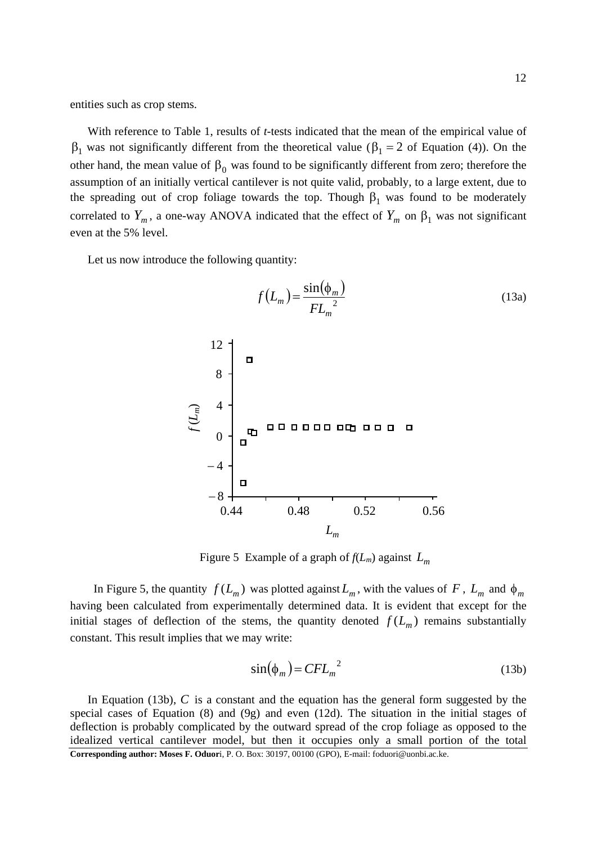entities such as crop stems.

With reference to Table 1, results of *t-*tests indicated that the mean of the empirical value of  $\beta_1$  was not significantly different from the theoretical value ( $\beta_1 = 2$  of Equation (4)). On the other hand, the mean value of  $\beta_0$  was found to be significantly different from zero; therefore the assumption of an initially vertical cantilever is not quite valid, probably, to a large extent, due to the spreading out of crop foliage towards the top. Though  $\beta_1$  was found to be moderately correlated to  $Y_m$ , a one-way ANOVA indicated that the effect of  $Y_m$  on  $\beta_1$  was not significant even at the 5% level.

Let us now introduce the following quantity:



Figure 5 Example of a graph of  $f(L_m)$  against  $L_m$ 

In Figure 5, the quantity  $f(L_m)$  was plotted against  $L_m$ , with the values of F,  $L_m$  and  $\phi_m$ having been calculated from experimentally determined data. It is evident that except for the initial stages of deflection of the stems, the quantity denoted  $f(L_m)$  remains substantially constant. This result implies that we may write:

$$
\sin(\phi_m) = CFL_m^{2}
$$
 (13b)

**Corresponding author: Moses F. Oduor**i, P. O. Box: 30197, 00100 (GPO), E-mail: foduori@uonbi.ac.ke. In Equation (13b), *C* is a constant and the equation has the general form suggested by the special cases of Equation  $(8)$  and  $(9g)$  and even  $(12d)$ . The situation in the initial stages of deflection is probably complicated by the outward spread of the crop foliage as opposed to the idealized vertical cantilever model, but then it occupies only a small portion of the total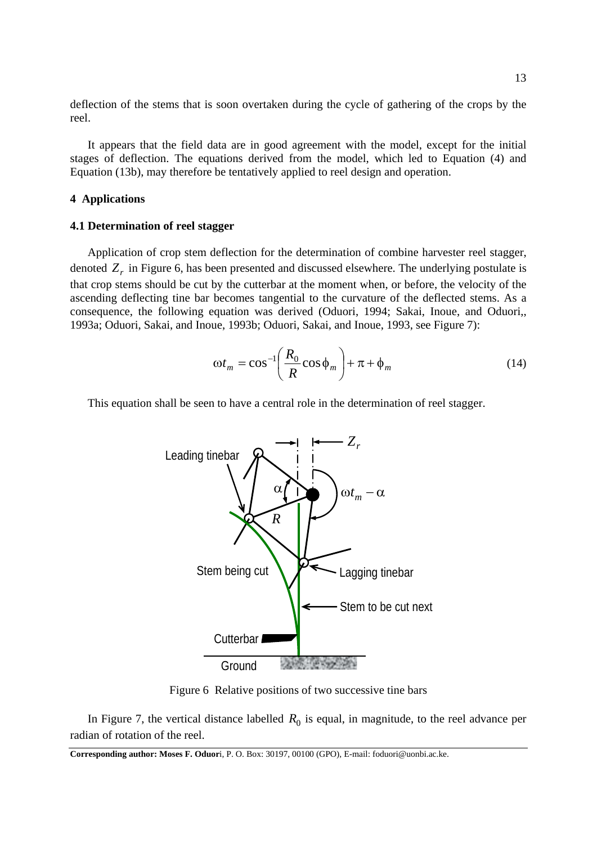deflection of the stems that is soon overtaken during the cycle of gathering of the crops by the reel.

It appears that the field data are in good agreement with the model, except for the initial stages of deflection. The equations derived from the model, which led to Equation (4) and Equation (13b), may therefore be tentatively applied to reel design and operation.

# **4 Applications**

### **4.1 Determination of reel stagger**

Application of crop stem deflection for the determination of combine harvester reel stagger, denoted  $Z<sub>r</sub>$  in Figure 6, has been presented and discussed elsewhere. The underlying postulate is that crop stems should be cut by the cutterbar at the moment when, or before, the velocity of the ascending deflecting tine bar becomes tangential to the curvature of the deflected stems. As a consequence, the following equation was derived (Oduori, 1994; Sakai, Inoue, and Oduori,, 1993a; Oduori, Sakai, and Inoue, 1993b; Oduori, Sakai, and Inoue, 1993, see Figure 7):

$$
\omega t_m = \cos^{-1} \left( \frac{R_0}{R} \cos \phi_m \right) + \pi + \phi_m \tag{14}
$$

This equation shall be seen to have a central role in the determination of reel stagger.



Figure 6 Relative positions of two successive tine bars

In Figure 7, the vertical distance labelled  $R_0$  is equal, in magnitude, to the reel advance per radian of rotation of the reel.

**Corresponding author: Moses F. Oduor**i, P. O. Box: 30197, 00100 (GPO), E-mail: foduori@uonbi.ac.ke.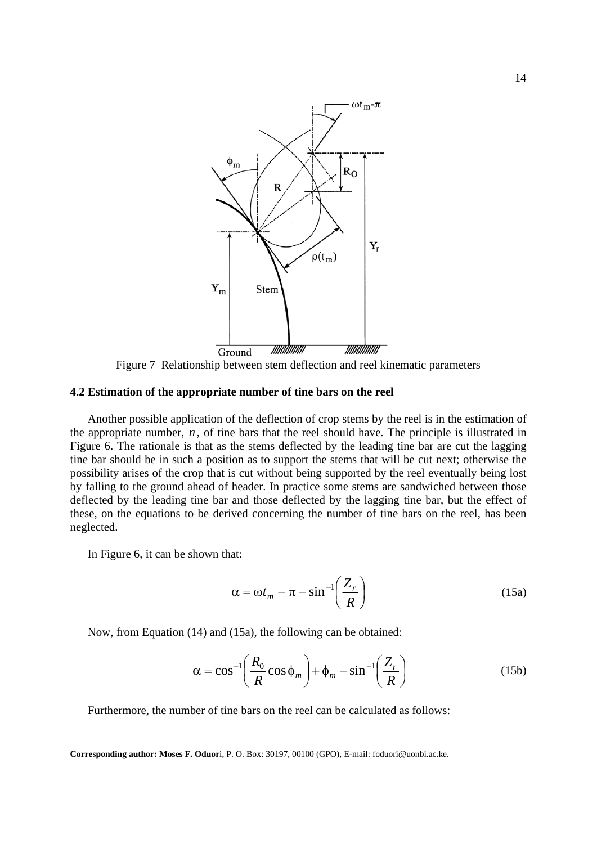

Figure 7 Relationship between stem deflection and reel kinematic parameters

# **4.2 Estimation of the appropriate number of tine bars on the reel**

Another possible application of the deflection of crop stems by the reel is in the estimation of the appropriate number,  $n$ , of tine bars that the reel should have. The principle is illustrated in Figure 6. The rationale is that as the stems deflected by the leading tine bar are cut the lagging tine bar should be in such a position as to support the stems that will be cut next; otherwise the possibility arises of the crop that is cut without being supported by the reel eventually being lost by falling to the ground ahead of header. In practice some stems are sandwiched between those deflected by the leading tine bar and those deflected by the lagging tine bar, but the effect of these, on the equations to be derived concerning the number of tine bars on the reel, has been neglected.

In Figure 6, it can be shown that:

$$
\alpha = \omega t_m - \pi - \sin^{-1}\left(\frac{Z_r}{R}\right) \tag{15a}
$$

Now, from Equation (14) and (15a), the following can be obtained:

$$
\alpha = \cos^{-1}\left(\frac{R_0}{R}\cos\phi_m\right) + \phi_m - \sin^{-1}\left(\frac{Z_r}{R}\right) \tag{15b}
$$

Furthermore, the number of tine bars on the reel can be calculated as follows:

**Corresponding author: Moses F. Oduor**i, P. O. Box: 30197, 00100 (GPO), E-mail: foduori@uonbi.ac.ke.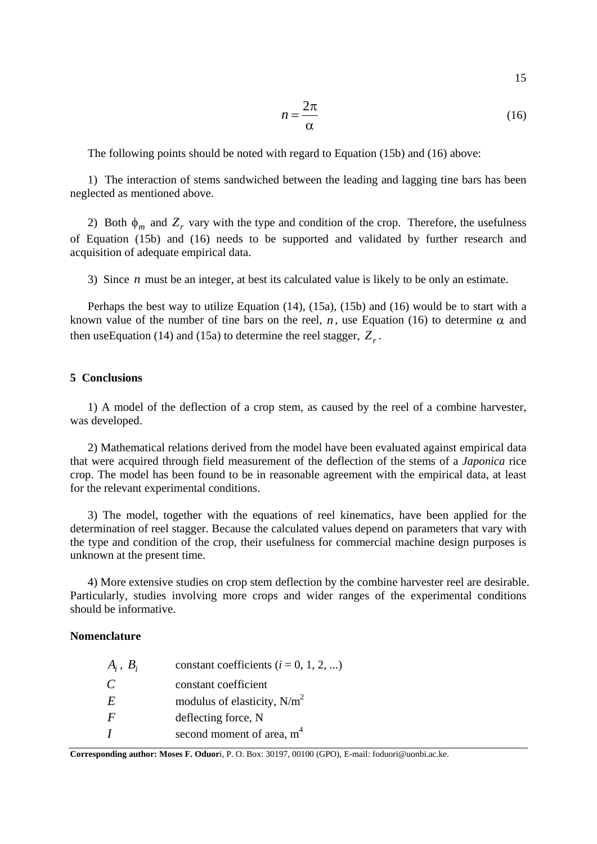15

$$
n = \frac{2\pi}{\alpha} \tag{16}
$$

The following points should be noted with regard to Equation (15b) and (16) above:

1) The interaction of stems sandwiched between the leading and lagging tine bars has been neglected as mentioned above.

2) Both  $\phi_m$  and  $Z_r$  vary with the type and condition of the crop. Therefore, the usefulness of Equation (15b) and (16) needs to be supported and validated by further research and acquisition of adequate empirical data.

3) Since *n* must be an integer, at best its calculated value is likely to be only an estimate.

Perhaps the best way to utilize Equation (14), (15a), (15b) and (16) would be to start with a known value of the number of tine bars on the reel, *n*, use Equation (16) to determine  $\alpha$  and then useEquation (14) and (15a) to determine the reel stagger,  $Z_r$ .

### **5 Conclusions**

1) A model of the deflection of a crop stem, as caused by the reel of a combine harvester, was developed.

2) Mathematical relations derived from the model have been evaluated against empirical data that were acquired through field measurement of the deflection of the stems of a *Japonica* rice crop. The model has been found to be in reasonable agreement with the empirical data, at least for the relevant experimental conditions.

3) The model, together with the equations of reel kinematics, have been applied for the determination of reel stagger. Because the calculated values depend on parameters that vary with the type and condition of the crop, their usefulness for commercial machine design purposes is unknown at the present time.

4) More extensive studies on crop stem deflection by the combine harvester reel are desirable. Particularly, studies involving more crops and wider ranges of the experimental conditions should be informative.

### **Nomenclature**

| $A_i, B_i$    | constant coefficients $(i = 0, 1, 2, )$ |
|---------------|-----------------------------------------|
| $\mathcal{C}$ | constant coefficient                    |
| E             | modulus of elasticity, $N/m^2$          |
| $\mathbf{F}$  | deflecting force, N                     |
|               | second moment of area, m <sup>4</sup>   |

**Corresponding author: Moses F. Oduor**i, P. O. Box: 30197, 00100 (GPO), E-mail: foduori@uonbi.ac.ke.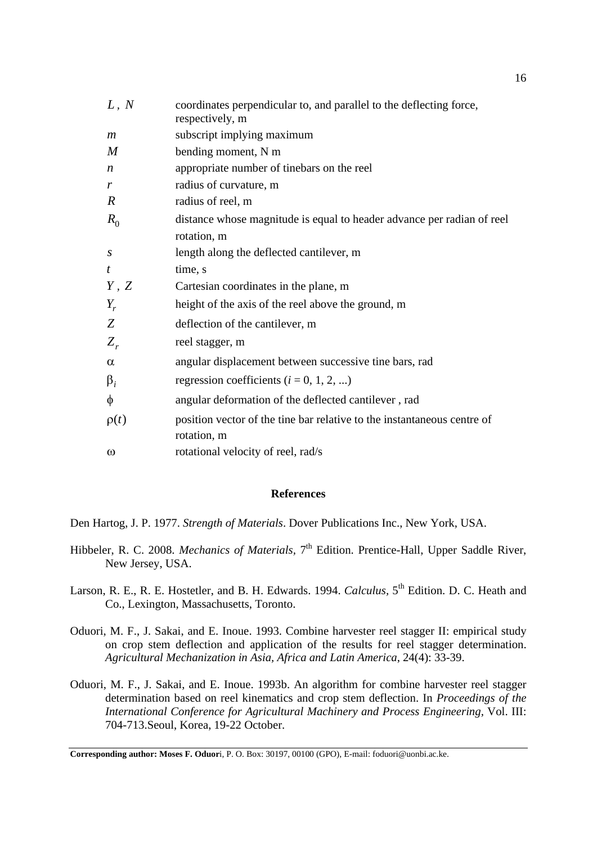| L, N             | coordinates perpendicular to, and parallel to the deflecting force,<br>respectively, m |
|------------------|----------------------------------------------------------------------------------------|
| m                | subscript implying maximum                                                             |
| M                | bending moment, N m                                                                    |
| $\boldsymbol{n}$ | appropriate number of tinebars on the reel                                             |
| r                | radius of curvature, m                                                                 |
| $\boldsymbol{R}$ | radius of reel, m                                                                      |
| $R_0$            | distance whose magnitude is equal to header advance per radian of reel                 |
|                  | rotation, m                                                                            |
| S                | length along the deflected cantilever, m                                               |
| t                | time, s                                                                                |
| Y, Z             | Cartesian coordinates in the plane, m                                                  |
| $Y_r$            | height of the axis of the reel above the ground, m                                     |
| Z                | deflection of the cantilever, m                                                        |
| $Z_{r}$          | reel stagger, m                                                                        |
| $\alpha$         | angular displacement between successive tine bars, rad                                 |
| $\beta_i$        | regression coefficients ( $i = 0, 1, 2, $ )                                            |
| $\phi$           | angular deformation of the deflected cantilever, rad                                   |
| $\rho(t)$        | position vector of the tine bar relative to the instantaneous centre of<br>rotation, m |
| $\omega$         | rotational velocity of reel, rad/s                                                     |

# **References**

Den Hartog, J. P. 1977. *Strength of Materials*. Dover Publications Inc., New York, USA.

- Hibbeler, R. C. 2008. *Mechanics of Materials*, 7<sup>th</sup> Edition. Prentice-Hall, Upper Saddle River, New Jersey, USA.
- Larson, R. E., R. E. Hostetler, and B. H. Edwards. 1994. *Calculus*, 5<sup>th</sup> Edition. D. C. Heath and Co., Lexington, Massachusetts, Toronto.
- Oduori, M. F., J. Sakai, and E. Inoue. 1993. Combine harvester reel stagger II: empirical study on crop stem deflection and application of the results for reel stagger determination. *Agricultural Mechanization in Asia, Africa and Latin America*, 24(4): 33-39.
- Oduori, M. F., J. Sakai, and E. Inoue. 1993b. An algorithm for combine harvester reel stagger determination based on reel kinematics and crop stem deflection. In *Proceedings of the International Conference for Agricultural Machinery and Process Engineering,* Vol. III: 704-713.Seoul, Korea, 19-22 October.

**Corresponding author: Moses F. Oduor**i, P. O. Box: 30197, 00100 (GPO), E-mail: foduori@uonbi.ac.ke.